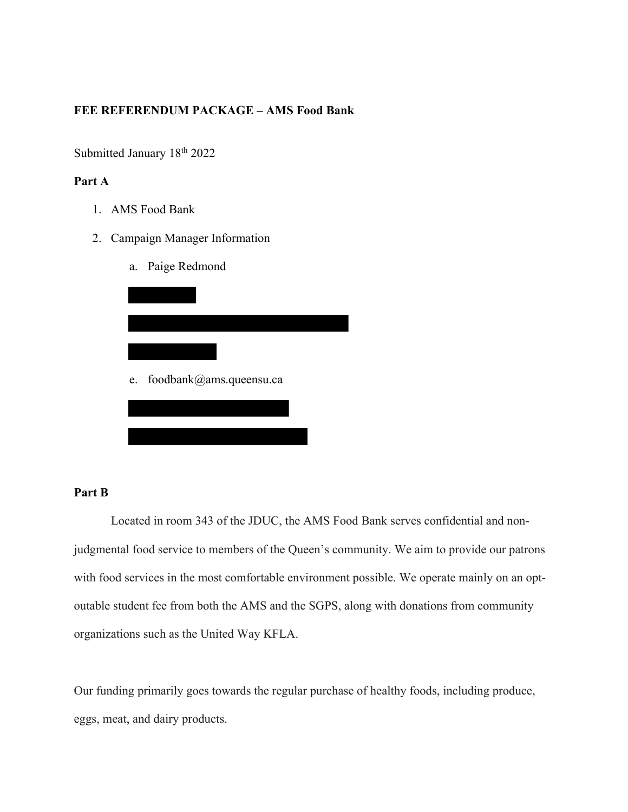## **FEE REFERENDUM PACKAGE – AMS Food Bank**

Submitted January 18<sup>th</sup> 2022

## **Part A**

1. AMS Food Bank

- 2. Campaign Manager Information
	- a. Paige Redmond

| e. | foodbank@ams.queensu.ca |  |
|----|-------------------------|--|
|    |                         |  |

## **Part B**

Located in room 343 of the JDUC, the AMS Food Bank serves confidential and nonjudgmental food service to members of the Queen's community. We aim to provide our patrons with food services in the most comfortable environment possible. We operate mainly on an optoutable student fee from both the AMS and the SGPS, along with donations from community organizations such as the United Way KFLA.

Our funding primarily goes towards the regular purchase of healthy foods, including produce, eggs, meat, and dairy products.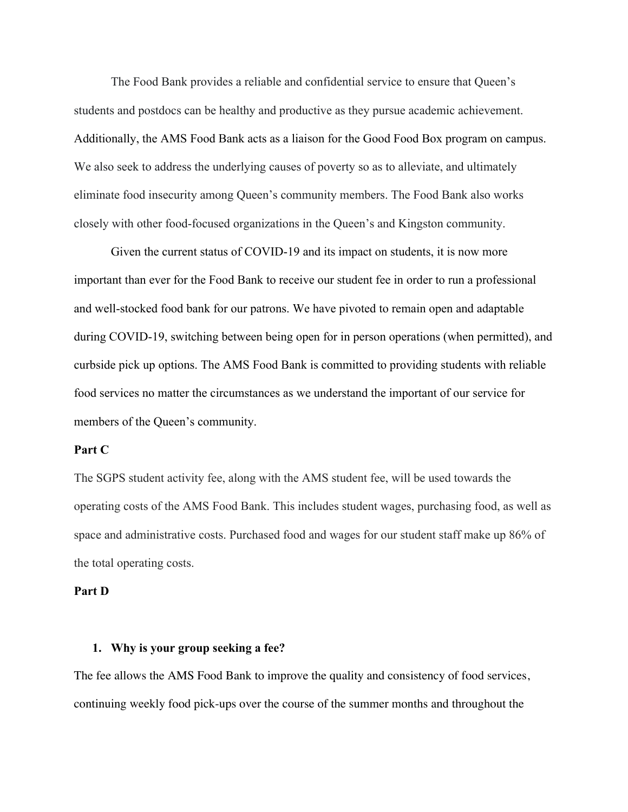The Food Bank provides a reliable and confidential service to ensure that Queen's students and postdocs can be healthy and productive as they pursue academic achievement. Additionally, the AMS Food Bank acts as a liaison for the Good Food Box program on campus. We also seek to address the underlying causes of poverty so as to alleviate, and ultimately eliminate food insecurity among Queen's community members. The Food Bank also works closely with other food-focused organizations in the Queen's and Kingston community.

Given the current status of COVID-19 and its impact on students, it is now more important than ever for the Food Bank to receive our student fee in order to run a professional and well-stocked food bank for our patrons. We have pivoted to remain open and adaptable during COVID-19, switching between being open for in person operations (when permitted), and curbside pick up options. The AMS Food Bank is committed to providing students with reliable food services no matter the circumstances as we understand the important of our service for members of the Queen's community.

#### **Part C**

The SGPS student activity fee, along with the AMS student fee, will be used towards the operating costs of the AMS Food Bank. This includes student wages, purchasing food, as well as space and administrative costs. Purchased food and wages for our student staff make up 86% of the total operating costs.

### **Part D**

#### **1. Why is your group seeking a fee?**

The fee allows the AMS Food Bank to improve the quality and consistency of food services, continuing weekly food pick-ups over the course of the summer months and throughout the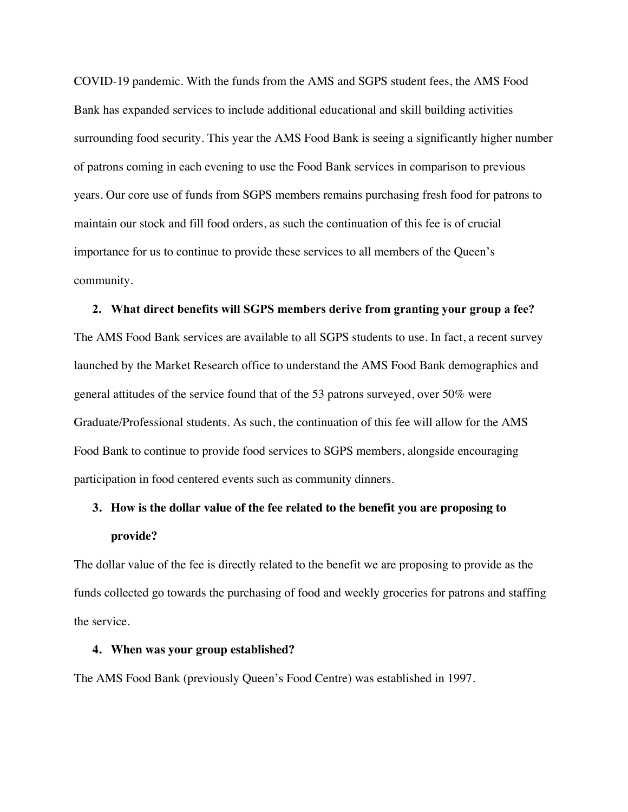COVID-19 pandemic. With the funds from the AMS and SGPS student fees, the AMS Food Bank has expanded services to include additional educational and skill building activities surrounding food security. This year the AMS Food Bank is seeing a significantly higher number of patrons coming in each evening to use the Food Bank services in comparison to previous years. Our core use of funds from SGPS members remains purchasing fresh food for patrons to maintain our stock and fill food orders, as such the continuation of this fee is of crucial importance for us to continue to provide these services to all members of the Queen's community.

#### **2. What direct benefits will SGPS members derive from granting your group a fee?**

The AMS Food Bank services are available to all SGPS students to use. In fact, a recent survey launched by the Market Research office to understand the AMS Food Bank demographics and general attitudes of the service found that of the 53 patrons surveyed, over 50% were Graduate/Professional students. As such, the continuation of this fee will allow for the AMS Food Bank to continue to provide food services to SGPS members, alongside encouraging participation in food centered events such as community dinners.

# **3. How is the dollar value of the fee related to the benefit you are proposing to provide?**

The dollar value of the fee is directly related to the benefit we are proposing to provide as the funds collected go towards the purchasing of food and weekly groceries for patrons and staffing the service.

### **4. When was your group established?**

The AMS Food Bank (previously Queen's Food Centre) was established in 1997.